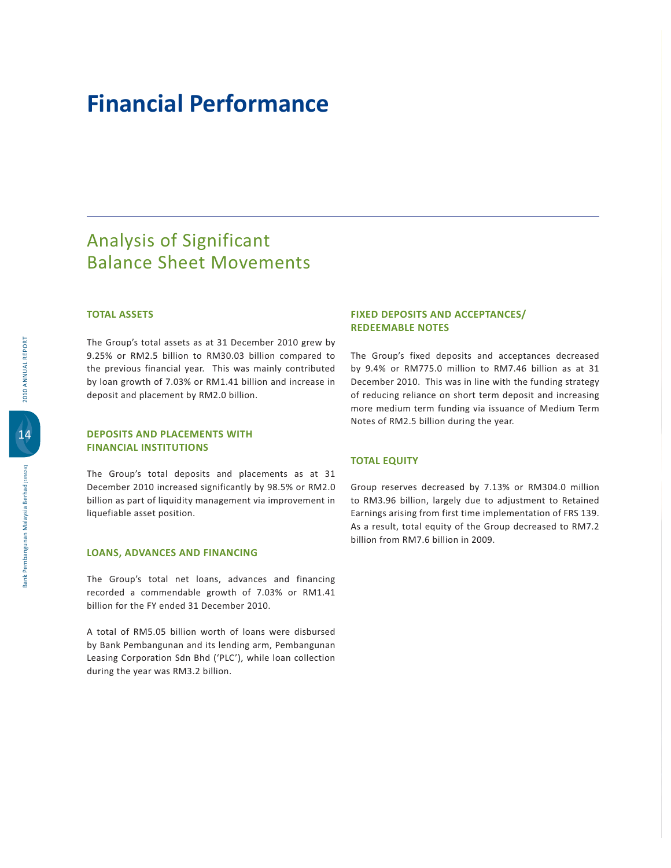# **Financial Performance**

## **Analysis of Significant Balance Sheet Movements**

### **TOTAL ASSETS**

The Group's total assets as at 31 December 2010 grew by 9.25% or RM2.5 billion to RM30.03 billion compared to the previous financial year. This was mainly contributed by loan growth of 7.03% or RM1.41 billion and increase in deposit and placement by RM2.0 billion.

## **DEPOSITS AND PLACEMENTS WITH FINANCIAL INSTITUTIONS**

The Group's total deposits and placements as at 31 December 2010 increased significantly by 98.5% or RM2.0 billion as part of liquidity management via improvement in liquefiable asset position.

### **LOANS, ADVANCES AND FINANCING**

The Group's total net loans, advances and financing recorded a commendable growth of 7.03% or RM1.41 billion for the FY ended 31 December 2010.

A total of RM5.05 billion worth of loans were disbursed by Bank Pembangunan and its lending arm, Pembangunan Leasing Corporation Sdn Bhd ('PLC'), while loan collection during the year was RM3.2 billion.

### **FIXED DEPOSITS AND ACCEPTANCES/ REDEEMABLE NOTES**

The Group's fixed deposits and acceptances decreased by 9.4% or RM775.0 million to RM7.46 billion as at 31 December 2010. This was in line with the funding strategy of reducing reliance on short term deposit and increasing more medium term funding via issuance of Medium Term Notes of RM2.5 billion during the year.

### **TOTAL EQUITY**

Group reserves decreased by 7.13% or RM304.0 million to RM3.96 billion, largely due to adjustment to Retained Earnings arising from first time implementation of FRS 139. As a result, total equity of the Group decreased to RM7.2 billion from RM7.6 billion in 2009.

14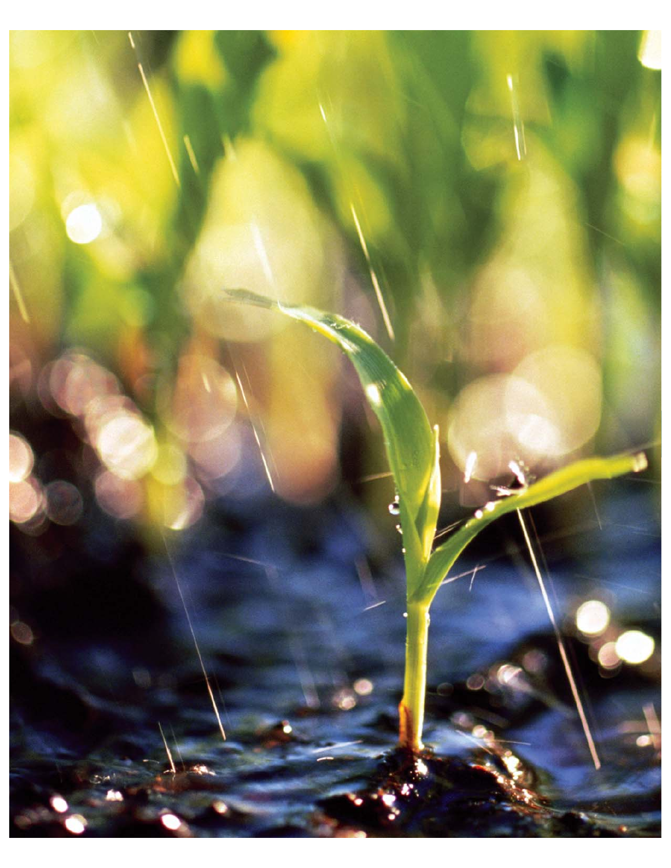